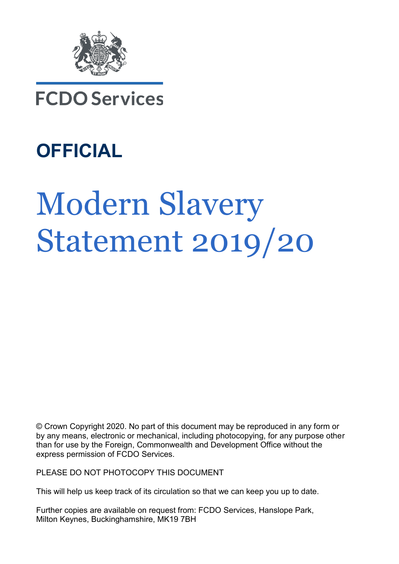

## **FCDO Services**

# **OFFICIAL**

# **Modern Slavery** Statement 2019/20

© Crown Copyright 2020. No part of this document may be reproduced in any form or by any means, electronic or mechanical, including photocopying, for any purpose other than for use by the Foreign, Commonwealth and Development Office without the express permission of FCDO Services.

PLEASE DO NOT PHOTOCOPY THIS DOCUMENT

This will help us keep track of its circulation so that we can keep you up to date.

Further copies are available on request from: FCDO Services, Hanslope Park, Milton Keynes, Buckinghamshire, MK19 7BH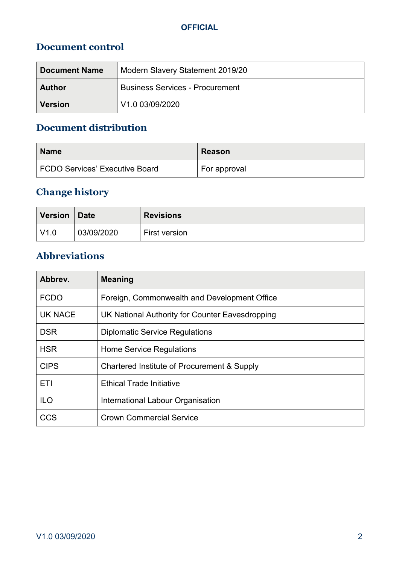#### **Document control**

| <b>Document Name</b> | Modern Slavery Statement 2019/20       |
|----------------------|----------------------------------------|
| <b>Author</b>        | <b>Business Services - Procurement</b> |
| <b>Version</b>       | V <sub>1.0</sub> 03/09/2020            |

#### **Document distribution**

| <b>Name</b>                    | <b>Reason</b> |
|--------------------------------|---------------|
| FCDO Services' Executive Board | For approval  |

#### **Change history**

| <b>Version</b> | Date       | <b>Revisions</b> |
|----------------|------------|------------------|
| V1.0           | 03/09/2020 | First version    |

#### **Abbreviations**

| Abbrev.        | <b>Meaning</b>                                  |
|----------------|-------------------------------------------------|
| <b>FCDO</b>    | Foreign, Commonwealth and Development Office    |
| <b>UK NACE</b> | UK National Authority for Counter Eavesdropping |
| <b>DSR</b>     | <b>Diplomatic Service Regulations</b>           |
| <b>HSR</b>     | Home Service Regulations                        |
| <b>CIPS</b>    | Chartered Institute of Procurement & Supply     |
| ETI            | <b>Ethical Trade Initiative</b>                 |
| <b>ILO</b>     | International Labour Organisation               |
| CCS            | <b>Crown Commercial Service</b>                 |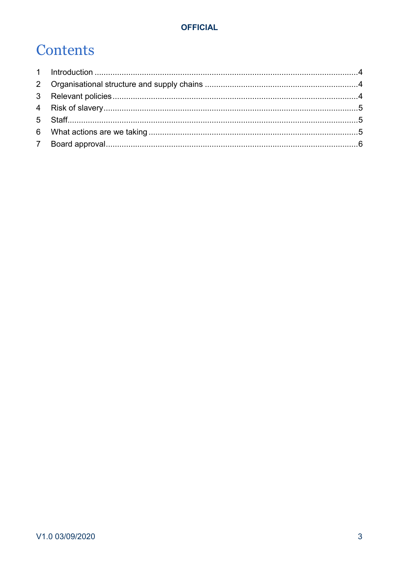## Contents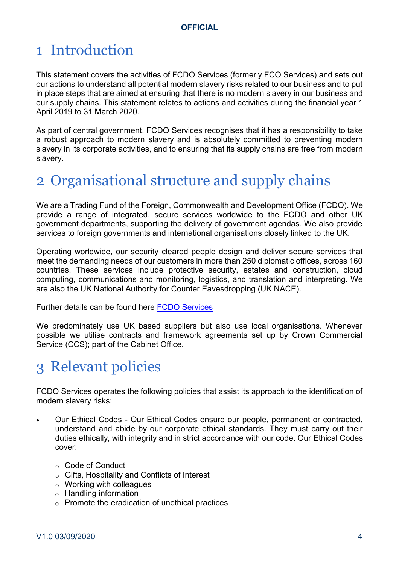## 1 Introduction

This statement covers the activities of FCDO Services (formerly FCO Services) and sets out our actions to understand all potential modern slavery risks related to our business and to put in place steps that are aimed at ensuring that there is no modern slavery in our business and our supply chains. This statement relates to actions and activities during the financial year 1 April 2019 to 31 March 2020.

As part of central government, FCDO Services recognises that it has a responsibility to take a robust approach to modern slavery and is absolutely committed to preventing modern slavery in its corporate activities, and to ensuring that its supply chains are free from modern slavery.

## 2 Organisational structure and supply chains

We are a Trading Fund of the Foreign, Commonwealth and Development Office (FCDO). We provide a range of integrated, secure services worldwide to the FCDO and other UK government departments, supporting the delivery of government agendas. We also provide services to foreign governments and international organisations closely linked to the UK.

Operating worldwide, our security cleared people design and deliver secure services that meet the demanding needs of our customers in more than 250 diplomatic offices, across 160 countries. These services include protective security, estates and construction, cloud computing, communications and monitoring, logistics, and translation and interpreting. We are also the UK National Authority for Counter Eavesdropping (UK NACE).

Further details can be found here FCDO Services

We predominately use UK based suppliers but also use local organisations. Whenever possible we utilise contracts and framework agreements set up by Crown Commercial Service (CCS); part of the Cabinet Office.

## 3 Relevant policies

FCDO Services operates the following policies that assist its approach to the identification of modern slavery risks:

- Our Ethical Codes Our Ethical Codes ensure our people, permanent or contracted, understand and abide by our corporate ethical standards. They must carry out their duties ethically, with integrity and in strict accordance with our code. Our Ethical Codes cover:
	- o Code of Conduct
	- o Gifts, Hospitality and Conflicts of Interest
	- $\circ$  Working with colleagues
	- $\circ$  Handling information
	- o Promote the eradication of unethical practices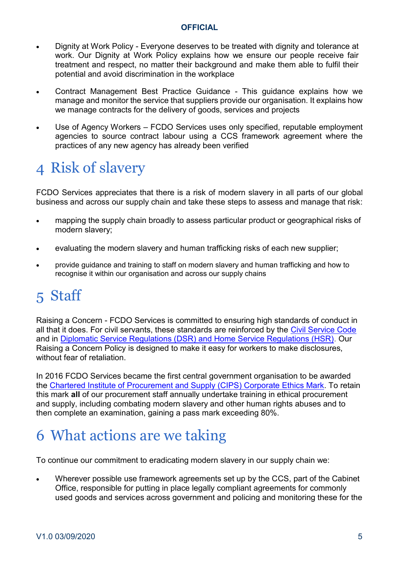- Dignity at Work Policy Everyone deserves to be treated with dignity and tolerance at work. Our Dignity at Work Policy explains how we ensure our people receive fair treatment and respect, no matter their background and make them able to fulfil their potential and avoid discrimination in the workplace
- Contract Management Best Practice Guidance This guidance explains how we manage and monitor the service that suppliers provide our organisation. It explains how we manage contracts for the delivery of goods, services and projects
- Use of Agency Workers FCDO Services uses only specified, reputable employment agencies to source contract labour using a CCS framework agreement where the practices of any new agency has already been verified

## 4 Risk of slavery

FCDO Services appreciates that there is a risk of modern slavery in all parts of our global business and across our supply chain and take these steps to assess and manage that risk:

- mapping the supply chain broadly to assess particular product or geographical risks of modern slavery;
- evaluating the modern slavery and human trafficking risks of each new supplier;
- x provide guidance and training to staff on modern slavery and human trafficking and how to recognise it within our organisation and across our supply chains

## 5 Staff

Raising a Concern - FCDO Services is committed to ensuring high standards of conduct in all that it does. For civil servants, these standards are reinforced by the Civil Service Code and in Diplomatic Service Regulations (DSR) and Home Service Regulations (HSR). Our Raising a Concern Policy is designed to make it easy for workers to make disclosures, without fear of retaliation

In 2016 FCDO Services became the first central government organisation to be awarded the Chartered Institute of Procurement and Supply (CIPS) Corporate Ethics Mark. To retain this mark **all** of our procurement staff annually undertake training in ethical procurement and supply, including combating modern slavery and other human rights abuses and to then complete an examination, gaining a pass mark exceeding 80%.

## 6 What actions are we taking

To continue our commitment to eradicating modern slavery in our supply chain we:

x Wherever possible use framework agreements set up by the CCS, part of the Cabinet Office, responsible for putting in place legally compliant agreements for commonly used goods and services across government and policing and monitoring these for the